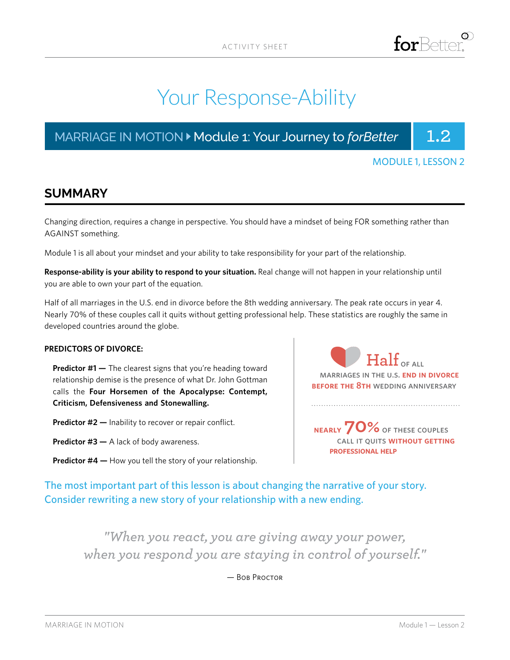# Your Response-Ability

MARRIAGE IN MOTION > Module 1: Your Journey to *forBetter* | 1.2



### **SUMMARY**

Changing direction, requires a change in perspective. You should have a mindset of being FOR something rather than AGAINST something.

Module 1 is all about your mindset and your ability to take responsibility for your part of the relationship.

**Response-ability is your ability to respond to your situation.** Real change will not happen in your relationship until you are able to own your part of the equation.

Half of all marriages in the U.S. end in divorce before the 8th wedding anniversary. The peak rate occurs in year 4. Nearly 70% of these couples call it quits without getting professional help. These statistics are roughly the same in developed countries around the globe.

#### **PREDICTORS OF DIVORCE:**

**Predictor #1 —** The clearest signs that you're heading toward relationship demise is the presence of what Dr. John Gottman calls the **Four Horsemen of the Apocalypse: Contempt, Criticism, Defensiveness and Stonewalling.**

**Predictor #2 —** Inability to recover or repair conflict.

- **Predictor #3 —** A lack of body awareness.
- **Predictor #4 —** How you tell the story of your relationship.

 **Half** of all marriages in the u.s. **end in divorce before the 8th** wedding anniversary

 **nearly 70%**of these couples call it quits **without getting professional help**

The most important part of this lesson is about changing the narrative of your story. Consider rewriting a new story of your relationship with a new ending.

*"When you react, you are giving away your power, when you respond you are staying in control of yourself."*

— Bob Proctor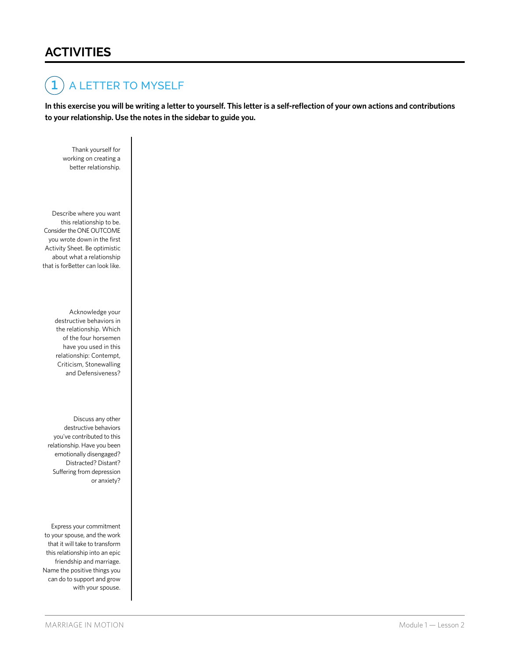### **ACTIVITIES**

#### A LETTER TO MYSELF **1**

**In this exercise you will be writing a letter to yourself. This letter is a self-reflection of your own actions and contributions to your relationship. Use the notes in the sidebar to guide you.**

 Thank yourself for working on creating a better relationship.

 Describe where you want this relationship to be. Consider the ONE OUTCOME you wrote down in the first Activity Sheet. Be optimistic about what a relationship that is forBetter can look like.

> Acknowledge your destructive behaviors in the relationship. Which of the four horsemen have you used in this relationship: Contempt, Criticism, Stonewalling and Defensiveness?

 Discuss any other destructive behaviors you've contributed to this relationship. Have you been emotionally disengaged? Distracted? Distant? Suffering from depression or anxiety?

Express your commitment to your spouse, and the work that it will take to transform this relationship into an epic friendship and marriage. Name the positive things you can do to support and grow with your spouse.